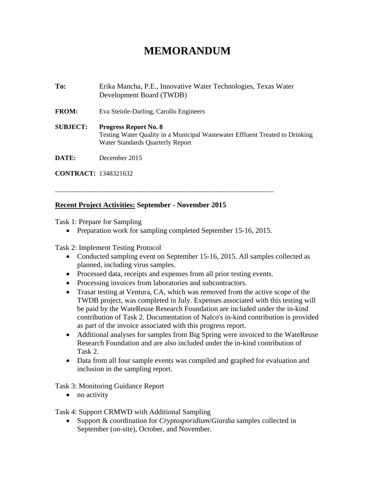# **MEMORANDUM**

**To:** Erika Mancha, P.E., Innovative Water Technologies, Texas Water Development Board (TWDB) **FROM:** Eva Steinle-Darling, Carollo Engineers **SUBJECT: Progress Report No. 8**  Testing Water Quality in a Municipal Wastewater Effluent Treated to Drinking Water Standards Quarterly Report **DATE:** December 2015

**CONTRACT:** 1348321632

### **Recent Project Activities: September - November 2015**

Task 1: Prepare for Sampling

• Preparation work for sampling completed September 15-16, 2015.

\_\_\_\_\_\_\_\_\_\_\_\_\_\_\_\_\_\_\_\_\_\_\_\_\_\_\_\_\_\_\_\_\_\_\_\_\_\_\_\_\_\_\_\_\_\_\_\_\_\_\_\_\_\_\_\_\_\_\_\_\_\_\_\_\_

Task 2: Implement Testing Protocol

- Conducted sampling event on September 15-16, 2015. All samples collected as planned, including virus samples.
- Processed data, receipts and expenses from all prior testing events.
- Processing invoices from laboratories and subcontractors.
- Trasar testing at Ventura, CA, which was removed from the active scope of the TWDB project, was completed in July. Expenses associated with this testing will be paid by the WateReuse Research Foundation are included under the in-kind contribution of Task 2. Documentation of Nalco's in-kind contribution is provided as part of the invoice associated with this progress report.
- Additional analyses for samples from Big Spring were invoiced to the WateReuse Research Foundation and are also included under the in-kind contribution of Task 2.
- Data from all four sample events was compiled and graphed for evaluation and inclusion in the sampling report.

Task 3: Monitoring Guidance Report

• no activity

#### Task 4: Support CRMWD with Additional Sampling

 Support & coordination for *Cryptosporidium*/*Giardia* samples collected in September (on-site), October, and November.